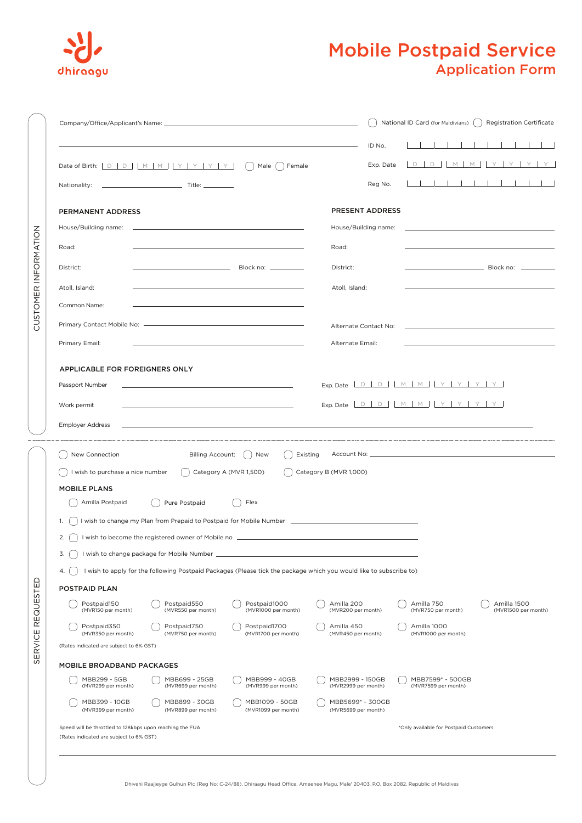

## Application Form Mobile Postpaid Service

|                      |                                                                                                                                                                                                                                | National ID Card (for Maldivians)   Registration Certificate |                                                                               |                                                                            |  |  |  |
|----------------------|--------------------------------------------------------------------------------------------------------------------------------------------------------------------------------------------------------------------------------|--------------------------------------------------------------|-------------------------------------------------------------------------------|----------------------------------------------------------------------------|--|--|--|
|                      |                                                                                                                                                                                                                                | ID No.                                                       |                                                                               |                                                                            |  |  |  |
|                      | Nationality:                                                                                                                                                                                                                   | Exp. Date<br>Reg No.                                         |                                                                               | DDMMMYYYY<br>.                                                             |  |  |  |
|                      | PERMANENT ADDRESS                                                                                                                                                                                                              | PRESENT ADDRESS                                              |                                                                               |                                                                            |  |  |  |
|                      | House/Building name: the contract of the contract of the contract of the contract of the contract of the contract of the contract of the contract of the contract of the contract of the contract of the contract of the contr | House/Building name:                                         |                                                                               | the control of the control of the control of the control of the control of |  |  |  |
| CUSTOMER INFORMATION |                                                                                                                                                                                                                                |                                                              |                                                                               |                                                                            |  |  |  |
|                      | Road:                                                                                                                                                                                                                          | Road:                                                        |                                                                               |                                                                            |  |  |  |
|                      | $\qquad \qquad \text{Block no:}\qquad \qquad$<br>District:                                                                                                                                                                     | District:                                                    |                                                                               |                                                                            |  |  |  |
|                      | Atoll, Island:                                                                                                                                                                                                                 | Atoll, Island:                                               |                                                                               |                                                                            |  |  |  |
|                      | Common Name:                                                                                                                                                                                                                   |                                                              |                                                                               |                                                                            |  |  |  |
|                      |                                                                                                                                                                                                                                | Alternate Contact No:                                        |                                                                               |                                                                            |  |  |  |
|                      | Primary Email:                                                                                                                                                                                                                 | Alternate Email:                                             |                                                                               |                                                                            |  |  |  |
|                      |                                                                                                                                                                                                                                |                                                              |                                                                               |                                                                            |  |  |  |
|                      | APPLICABLE FOR FOREIGNERS ONLY                                                                                                                                                                                                 |                                                              |                                                                               |                                                                            |  |  |  |
|                      | Passport Number                                                                                                                                                                                                                |                                                              | Exp. Date $\boxed{D \quad D \quad M \quad M \quad Y \quad Y \quad Y \quad Y}$ |                                                                            |  |  |  |
|                      | Work permit                                                                                                                                                                                                                    |                                                              | Exp. Date $D D D M M N Y Y Y Y$                                               |                                                                            |  |  |  |
|                      | <b>Employer Address</b>                                                                                                                                                                                                        |                                                              |                                                                               |                                                                            |  |  |  |
|                      |                                                                                                                                                                                                                                |                                                              |                                                                               |                                                                            |  |  |  |
|                      | New Connection<br><b>Billing Account:</b><br>) New<br>Existing                                                                                                                                                                 |                                                              |                                                                               |                                                                            |  |  |  |
|                      | I wish to purchase a nice number<br>$\int$ Category A (MVR 1,500)<br>$\int$ Category B (MVR 1,000)                                                                                                                             |                                                              |                                                                               |                                                                            |  |  |  |
|                      | <b>MOBILE PLANS</b>                                                                                                                                                                                                            |                                                              |                                                                               |                                                                            |  |  |  |
|                      | Amilla Postpaid<br>Pure Postpaid<br>Flex<br>$\left( \quad \right)$                                                                                                                                                             |                                                              |                                                                               |                                                                            |  |  |  |
|                      | I wish to change my Plan from Prepaid to Postpaid for Mobile Number [1989] [1989] [1989] [1989] [1989] [1989] [<br>1.                                                                                                          |                                                              |                                                                               |                                                                            |  |  |  |
|                      | 2. [ ] I wish to become the registered owner of Mobile no _______________________                                                                                                                                              |                                                              |                                                                               |                                                                            |  |  |  |
|                      | 3. 1 wish to change package for Mobile Number                                                                                                                                                                                  |                                                              |                                                                               |                                                                            |  |  |  |
|                      | I wish to apply for the following Postpaid Packages (Please tick the package which you would like to subscribe to)<br>4. [ ]                                                                                                   |                                                              |                                                                               |                                                                            |  |  |  |
|                      | POSTPAID PLAN                                                                                                                                                                                                                  |                                                              |                                                                               |                                                                            |  |  |  |
| <b>REQUESTED</b>     | Postpaid150<br>Postpaid550<br>Postpaid1000<br>(MVR150 per month)<br>(MVR550 per month)<br>(MVR1000 per month)                                                                                                                  | Amilla 200<br>(MVR200 per month)                             | Amilla 750<br>(MVR750 per month)                                              | Amilla 1500<br>(MVR1500 per month)                                         |  |  |  |
|                      | Postpaid350<br>Postpaid750<br>Postpaid1700<br>(MVR350 per month)<br>(MVR750 per month)<br>(MVR1700 per month)                                                                                                                  | Amilla 450<br>(MVR450 per month)                             | Amilla 1000<br>(MVR1000 per month)                                            |                                                                            |  |  |  |
| ERVICE               | (Rates indicated are subject to 6% GST)                                                                                                                                                                                        |                                                              |                                                                               |                                                                            |  |  |  |
| w                    | MOBILE BROADBAND PACKAGES                                                                                                                                                                                                      |                                                              |                                                                               |                                                                            |  |  |  |
|                      | MBB299 - 5GB<br>MBB699 - 25GB<br>MBB999 - 40GB<br>(MVR299 per month)<br>(MVR699 per month)<br>(MVR999 per month)                                                                                                               | MBB2999 - 150GB<br>(MVR2999 per month)                       | MBB7599* - 500GB<br>(MVR7599 per month)                                       |                                                                            |  |  |  |
|                      | MBB399 - 10GB<br>MBB899 - 30GB<br>MBB1099 - 50GB<br>(MVR1099 per month)<br>(MVR399 per month)<br>(MVR899 per month)                                                                                                            | MBB5699* - 300GB<br>(MVR5699 per month)                      |                                                                               |                                                                            |  |  |  |
|                      | Speed will be throttled to 128kbps upon reaching the FUA<br>(Rates indicated are subject to 6% GST)                                                                                                                            |                                                              | *Only available for Postpaid Customers                                        |                                                                            |  |  |  |